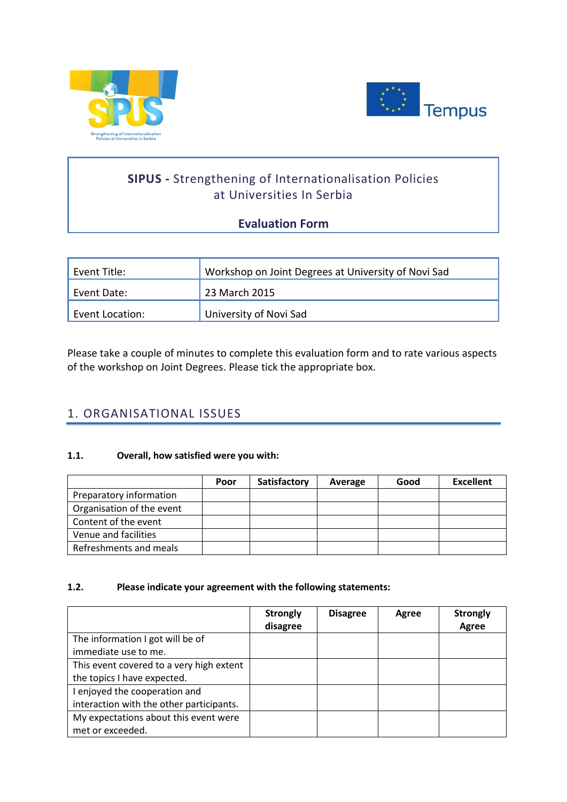



# **SIPUS -** Strengthening of Internationalisation Policies at Universities In Serbia

## **Evaluation Form**

| Event Title:    | Workshop on Joint Degrees at University of Novi Sad |  |  |
|-----------------|-----------------------------------------------------|--|--|
| Event Date:     | 23 March 2015                                       |  |  |
| Event Location: | University of Novi Sad                              |  |  |

Please take a couple of minutes to complete this evaluation form and to rate various aspects of the workshop on Joint Degrees. Please tick the appropriate box.

## 1. ORGANISATIONAL ISSUES

### **1.1. Overall, how satisfied were you with:**

|                           | Poor | Satisfactory | Average | Good | <b>Excellent</b> |
|---------------------------|------|--------------|---------|------|------------------|
| Preparatory information   |      |              |         |      |                  |
| Organisation of the event |      |              |         |      |                  |
| Content of the event      |      |              |         |      |                  |
| Venue and facilities      |      |              |         |      |                  |
| Refreshments and meals    |      |              |         |      |                  |

### **1.2. Please indicate your agreement with the following statements:**

|                                          | <b>Strongly</b><br>disagree | <b>Disagree</b> | Agree | <b>Strongly</b><br>Agree |
|------------------------------------------|-----------------------------|-----------------|-------|--------------------------|
| The information I got will be of         |                             |                 |       |                          |
| immediate use to me.                     |                             |                 |       |                          |
| This event covered to a very high extent |                             |                 |       |                          |
| the topics I have expected.              |                             |                 |       |                          |
| I enjoyed the cooperation and            |                             |                 |       |                          |
| interaction with the other participants. |                             |                 |       |                          |
| My expectations about this event were    |                             |                 |       |                          |
| met or exceeded.                         |                             |                 |       |                          |